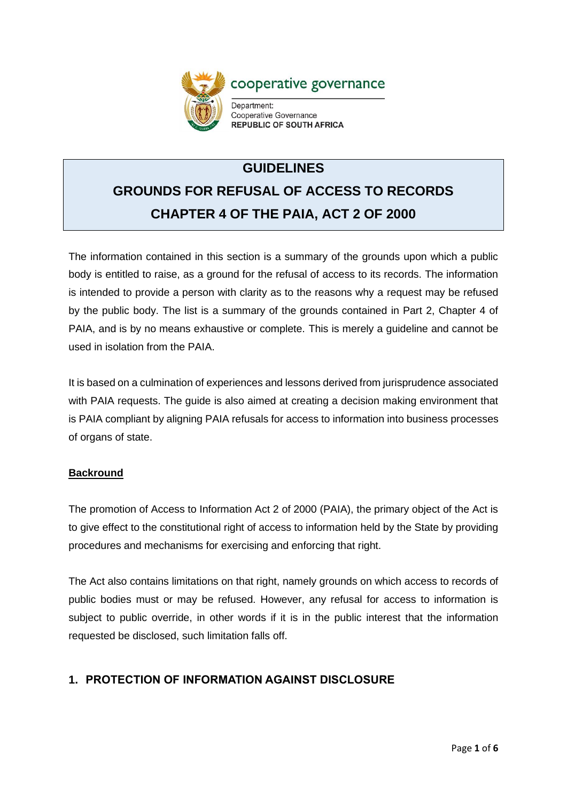

# **GUIDELINES GROUNDS FOR REFUSAL OF ACCESS TO RECORDS CHAPTER 4 OF THE PAIA, ACT 2 OF 2000**

The information contained in this section is a summary of the grounds upon which a public body is entitled to raise, as a ground for the refusal of access to its records. The information is intended to provide a person with clarity as to the reasons why a request may be refused by the public body. The list is a summary of the grounds contained in Part 2, Chapter 4 of PAIA, and is by no means exhaustive or complete. This is merely a guideline and cannot be used in isolation from the PAIA.

It is based on a culmination of experiences and lessons derived from jurisprudence associated with PAIA requests. The guide is also aimed at creating a decision making environment that is PAIA compliant by aligning PAIA refusals for access to information into business processes of organs of state.

### **Backround**

The promotion of Access to Information Act 2 of 2000 (PAIA), the primary object of the Act is to give effect to the constitutional right of access to information held by the State by providing procedures and mechanisms for exercising and enforcing that right.

The Act also contains limitations on that right, namely grounds on which access to records of public bodies must or may be refused. However, any refusal for access to information is subject to public override, in other words if it is in the public interest that the information requested be disclosed, such limitation falls off.

## **1. PROTECTION OF INFORMATION AGAINST DISCLOSURE**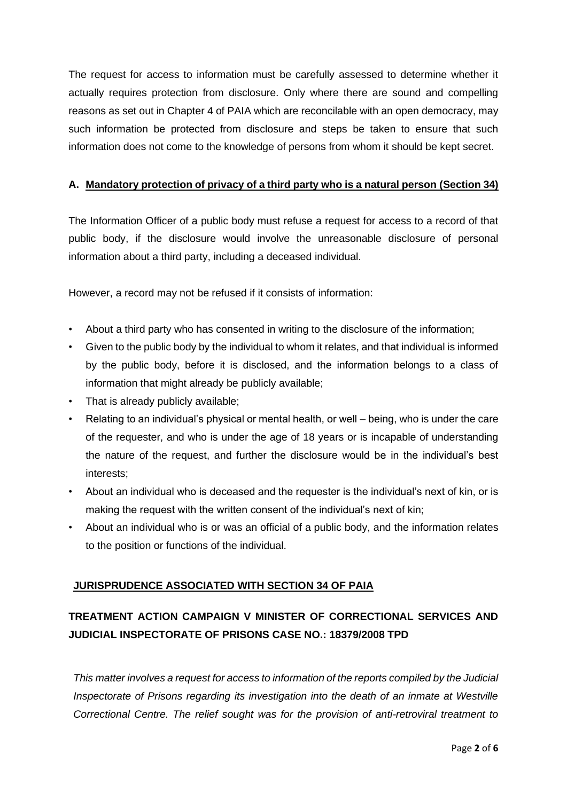The request for access to information must be carefully assessed to determine whether it actually requires protection from disclosure. Only where there are sound and compelling reasons as set out in Chapter 4 of PAIA which are reconcilable with an open democracy, may such information be protected from disclosure and steps be taken to ensure that such information does not come to the knowledge of persons from whom it should be kept secret.

#### **A. Mandatory protection of privacy of a third party who is a natural person (Section 34)**

The Information Officer of a public body must refuse a request for access to a record of that public body, if the disclosure would involve the unreasonable disclosure of personal information about a third party, including a deceased individual.

However, a record may not be refused if it consists of information:

- About a third party who has consented in writing to the disclosure of the information;
- Given to the public body by the individual to whom it relates, and that individual is informed by the public body, before it is disclosed, and the information belongs to a class of information that might already be publicly available;
- That is already publicly available;
- Relating to an individual's physical or mental health, or well being, who is under the care of the requester, and who is under the age of 18 years or is incapable of understanding the nature of the request, and further the disclosure would be in the individual's best interests;
- About an individual who is deceased and the requester is the individual's next of kin, or is making the request with the written consent of the individual's next of kin;
- About an individual who is or was an official of a public body, and the information relates to the position or functions of the individual.

### **JURISPRUDENCE ASSOCIATED WITH SECTION 34 OF PAIA**

# **TREATMENT ACTION CAMPAIGN V MINISTER OF CORRECTIONAL SERVICES AND JUDICIAL INSPECTORATE OF PRISONS CASE NO.: 18379/2008 TPD**

*This matter involves a request for access to information of the reports compiled by the Judicial Inspectorate of Prisons regarding its investigation into the death of an inmate at Westville Correctional Centre. The relief sought was for the provision of anti-retroviral treatment to*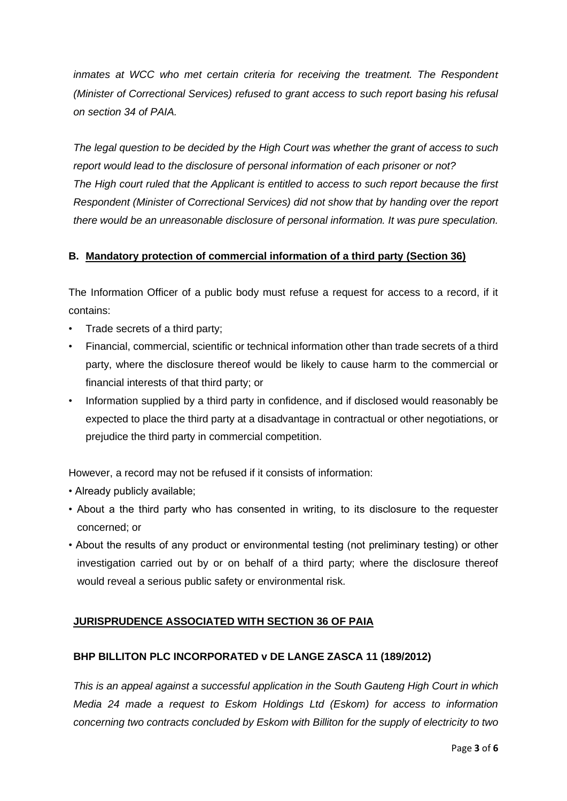*inmates at WCC who met certain criteria for receiving the treatment. The Respondent (Minister of Correctional Services) refused to grant access to such report basing his refusal on section 34 of PAIA.*

*The legal question to be decided by the High Court was whether the grant of access to such report would lead to the disclosure of personal information of each prisoner or not? The High court ruled that the Applicant is entitled to access to such report because the first Respondent (Minister of Correctional Services) did not show that by handing over the report there would be an unreasonable disclosure of personal information. It was pure speculation.*

### **B. Mandatory protection of commercial information of a third party (Section 36)**

The Information Officer of a public body must refuse a request for access to a record, if it contains:

- Trade secrets of a third party;
- Financial, commercial, scientific or technical information other than trade secrets of a third party, where the disclosure thereof would be likely to cause harm to the commercial or financial interests of that third party; or
- Information supplied by a third party in confidence, and if disclosed would reasonably be expected to place the third party at a disadvantage in contractual or other negotiations, or prejudice the third party in commercial competition.

However, a record may not be refused if it consists of information:

- Already publicly available;
- About a the third party who has consented in writing, to its disclosure to the requester concerned; or
- About the results of any product or environmental testing (not preliminary testing) or other investigation carried out by or on behalf of a third party; where the disclosure thereof would reveal a serious public safety or environmental risk.

## **JURISPRUDENCE ASSOCIATED WITH SECTION 36 OF PAIA**

### **BHP BILLITON PLC INCORPORATED v DE LANGE ZASCA 11 (189/2012)**

*This is an appeal against a successful application in the South Gauteng High Court in which Media 24 made a request to Eskom Holdings Ltd (Eskom) for access to information concerning two contracts concluded by Eskom with Billiton for the supply of electricity to two*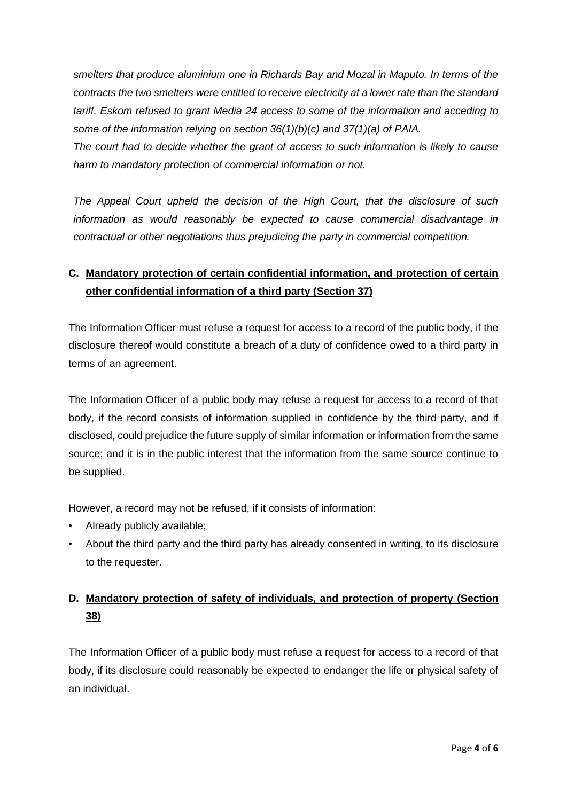*smelters that produce aluminium one in Richards Bay and Mozal in Maputo. In terms of the contracts the two smelters were entitled to receive electricity at a lower rate than the standard tariff. Eskom refused to grant Media 24 access to some of the information and acceding to some of the information relying on section 36(1)(b)(c) and 37(1)(a) of PAIA.*

*The court had to decide whether the grant of access to such information is likely to cause harm to mandatory protection of commercial information or not.*

*The Appeal Court upheld the decision of the High Court, that the disclosure of such information as would reasonably be expected to cause commercial disadvantage in contractual or other negotiations thus prejudicing the party in commercial competition.* 

## **C. Mandatory protection of certain confidential information, and protection of certain other confidential information of a third party (Section 37)**

The Information Officer must refuse a request for access to a record of the public body, if the disclosure thereof would constitute a breach of a duty of confidence owed to a third party in terms of an agreement.

The Information Officer of a public body may refuse a request for access to a record of that body, if the record consists of information supplied in confidence by the third party, and if disclosed, could prejudice the future supply of similar information or information from the same source; and it is in the public interest that the information from the same source continue to be supplied.

However, a record may not be refused, if it consists of information:

- Already publicly available;
- About the third party and the third party has already consented in writing, to its disclosure to the requester.

## **D. Mandatory protection of safety of individuals, and protection of property (Section 38)**

The Information Officer of a public body must refuse a request for access to a record of that body, if its disclosure could reasonably be expected to endanger the life or physical safety of an individual.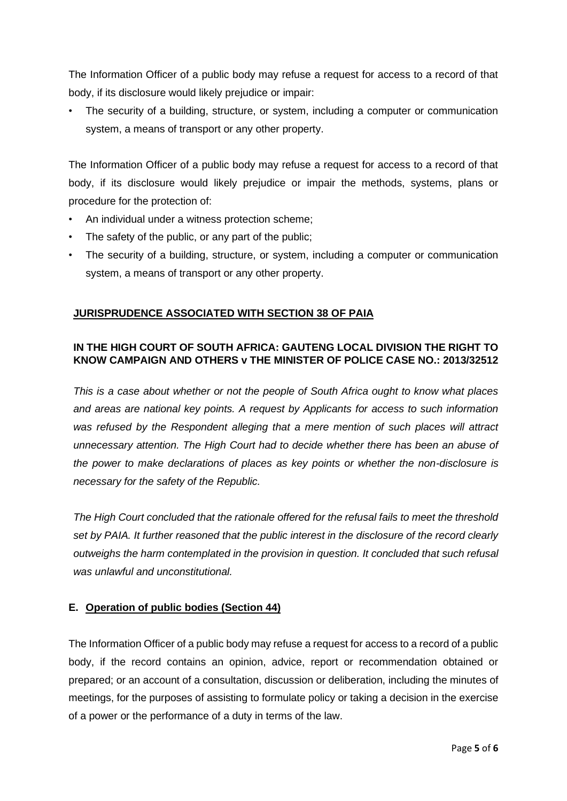The Information Officer of a public body may refuse a request for access to a record of that body, if its disclosure would likely prejudice or impair:

The security of a building, structure, or system, including a computer or communication system, a means of transport or any other property.

The Information Officer of a public body may refuse a request for access to a record of that body, if its disclosure would likely prejudice or impair the methods, systems, plans or procedure for the protection of:

- An individual under a witness protection scheme;
- The safety of the public, or any part of the public;
- The security of a building, structure, or system, including a computer or communication system, a means of transport or any other property.

#### **JURISPRUDENCE ASSOCIATED WITH SECTION 38 OF PAIA**

#### **IN THE HIGH COURT OF SOUTH AFRICA: GAUTENG LOCAL DIVISION THE RIGHT TO KNOW CAMPAIGN AND OTHERS v THE MINISTER OF POLICE CASE NO.: 2013/32512**

*This is a case about whether or not the people of South Africa ought to know what places and areas are national key points. A request by Applicants for access to such information was refused by the Respondent alleging that a mere mention of such places will attract unnecessary attention. The High Court had to decide whether there has been an abuse of the power to make declarations of places as key points or whether the non-disclosure is necessary for the safety of the Republic.*

*The High Court concluded that the rationale offered for the refusal fails to meet the threshold set by PAIA. It further reasoned that the public interest in the disclosure of the record clearly outweighs the harm contemplated in the provision in question. It concluded that such refusal was unlawful and unconstitutional.* 

#### **E. Operation of public bodies (Section 44)**

The Information Officer of a public body may refuse a request for access to a record of a public body, if the record contains an opinion, advice, report or recommendation obtained or prepared; or an account of a consultation, discussion or deliberation, including the minutes of meetings, for the purposes of assisting to formulate policy or taking a decision in the exercise of a power or the performance of a duty in terms of the law.